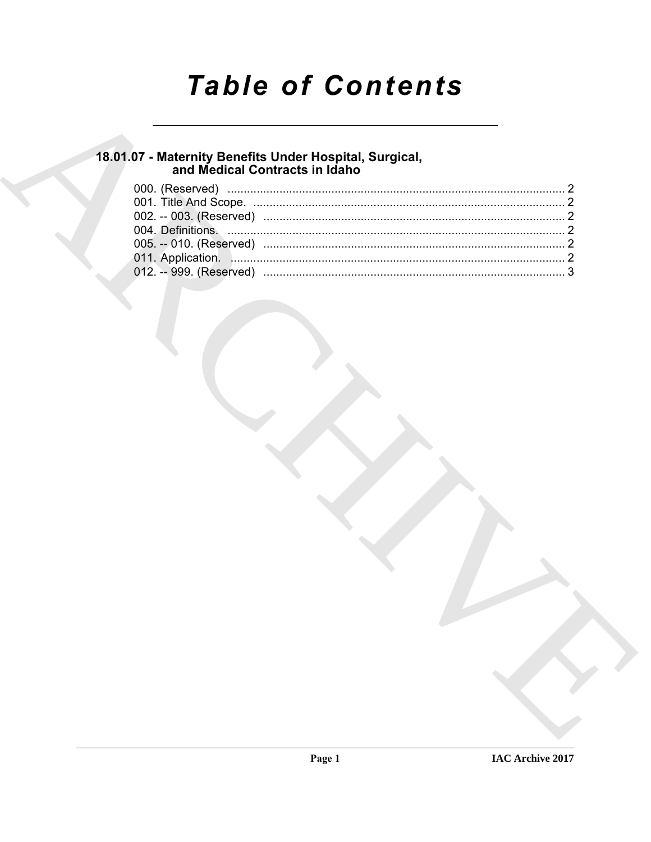# **Table of Contents**

## 18.01.07 - Maternity Benefits Under Hospital, Surgical,<br>and Medical Contracts in Idaho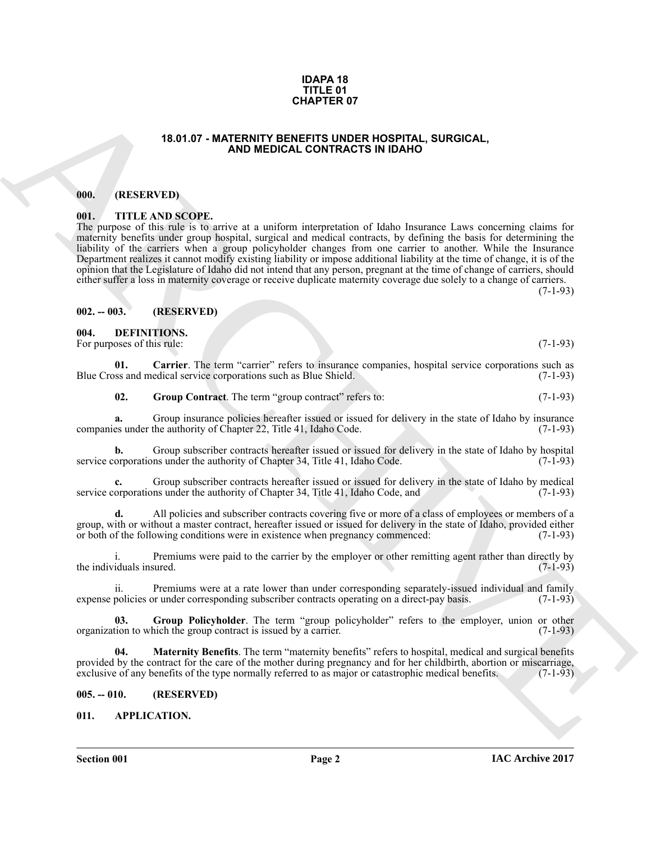#### **IDAPA 18 TITLE 01 CHAPTER 07**

#### **18.01.07 - MATERNITY BENEFITS UNDER HOSPITAL, SURGICAL, AND MEDICAL CONTRACTS IN IDAHO**

#### <span id="page-1-1"></span><span id="page-1-0"></span>**000. (RESERVED)**

#### <span id="page-1-2"></span>**001. TITLE AND SCOPE.**

**18.3.1.67 - MATERMITOR CONTRACTS IN TRANSPORTATION CONTRACTS IN CONSULTATION CONTRACTS IN CONSULTATION CONTRACTS IN TRANSPORTATION CONTRACTS IN THE SECTION CONTRACTS IN THE SECTION CONTRACTS IN EXAMPLE TO A CONSULTATION** The purpose of this rule is to arrive at a uniform interpretation of Idaho Insurance Laws concerning claims for maternity benefits under group hospital, surgical and medical contracts, by defining the basis for determining the liability of the carriers when a group policyholder changes from one carrier to another. While the Insurance Department realizes it cannot modify existing liability or impose additional liability at the time of change, it is of the opinion that the Legislature of Idaho did not intend that any person, pregnant at the time of change of carriers, should either suffer a loss in maternity coverage or receive duplicate maternity coverage due solely to a change of carriers.

 $(7-1-93)$ 

#### <span id="page-1-3"></span>**002. -- 003. (RESERVED)**

#### <span id="page-1-8"></span><span id="page-1-4"></span>**004. DEFINITIONS.** For purposes of this rule: (7-1-93)

**01. Carrier**. The term "carrier" refers to insurance companies, hospital service corporations such as ss and medical service corporations such as Blue Shield. (7-1-93) Blue Cross and medical service corporations such as Blue Shield.

<span id="page-1-10"></span><span id="page-1-9"></span>**02.** Group Contract. The term "group contract" refers to: (7-1-93)

**a.** Group insurance policies hereafter issued or issued for delivery in the state of Idaho by insurance es under the authority of Chapter 22. Title 41. Idaho Code. (7-1-93) companies under the authority of Chapter 22, Title 41, Idaho Code.

**b.** Group subscriber contracts hereafter issued or issued for delivery in the state of Idaho by hospital or<br>proporations under the authority of Chapter 34. Title 41. Idaho Code. (7-1-93) service corporations under the authority of Chapter 34, Title 41, Idaho Code.

Group subscriber contracts hereafter issued or issued for delivery in the state of Idaho by medical ins under the authority of Chapter 34, Title 41, Idaho Code, and (7-1-93) service corporations under the authority of Chapter 34, Title 41, Idaho Code, and

**d.** All policies and subscriber contracts covering five or more of a class of employees or members of a group, with or without a master contract, hereafter issued or issued for delivery in the state of Idaho, provided either or both of the following conditions were in existence when pregnancy commenced: (7-1-93)

i. Premiums were paid to the carrier by the employer or other remitting agent rather than directly by iduals insured. (7-1-93) the individuals insured.

ii. Premiums were at a rate lower than under corresponding separately-issued individual and family policies or under corresponding subscriber contracts operating on a direct-pay basis. (7-1-93) expense policies or under corresponding subscriber contracts operating on a direct-pay basis.

<span id="page-1-11"></span>**03.** Group Policyholder. The term "group policyholder" refers to the employer, union or other tion to which the group contract is issued by a carrier. (7-1-93) organization to which the group contract is issued by a carrier.

<span id="page-1-12"></span>**04. Maternity Benefits**. The term "maternity benefits" refers to hospital, medical and surgical benefits provided by the contract for the care of the mother during pregnancy and for her childbirth, abortion or miscarriage, exclusive of any benefits of the type normally referred to as major or catastrophic medical benefits. (7 exclusive of any benefits of the type normally referred to as major or catastrophic medical benefits.

#### <span id="page-1-5"></span>**005. -- 010. (RESERVED)**

### <span id="page-1-7"></span><span id="page-1-6"></span>**011. APPLICATION.**

**Section 001 Page 2**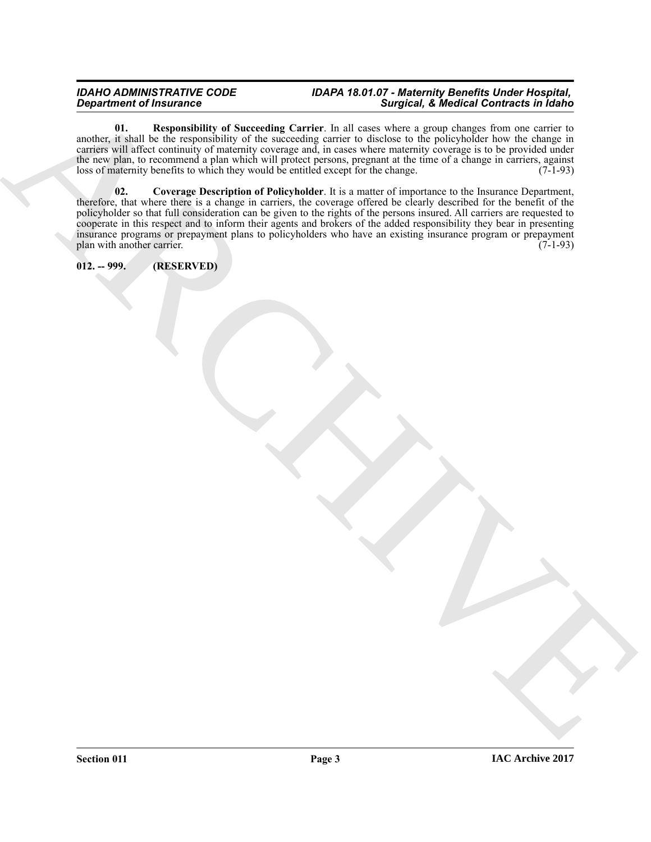### *IDAHO ADMINISTRATIVE CODE IDAPA 18.01.07 - Maternity Benefits Under Hospital, Department of Insurance Surgical, & Medical Contracts in Idaho*

<span id="page-2-2"></span><span id="page-2-1"></span>**01. Responsibility of Succeeding Carrier**. In all cases where a group changes from one carrier to another, it shall be the responsibility of the succeeding carrier to disclose to the policyholder how the change in carriers will affect continuity of maternity coverage and, in cases where maternity coverage is to be provided under the new plan, to recommend a plan which will protect persons, pregnant at the time of a change in carriers, against loss of maternity benefits to which they would be entitled except for the change. (7-1-93)

 $\overrightarrow{AB}$  and  $\overrightarrow{AB}$  are  $\overrightarrow{AB}$  and  $\overrightarrow{AB}$  and  $\overrightarrow{AB}$  are  $\overrightarrow{AB}$  and  $\overrightarrow{AB}$  are  $\overrightarrow{AB}$  and  $\overrightarrow{AB}$  are  $\overrightarrow{AB}$  and  $\overrightarrow{AB}$  are  $\overrightarrow{AB}$  and  $\overrightarrow{AB}$  are  $\overrightarrow{AB}$  and  $\overrightarrow{AB}$  are  $\overrightarrow{AB}$  and  $\overrightarrow{AB}$  are **02. Coverage Description of Policyholder**. It is a matter of importance to the Insurance Department, therefore, that where there is a change in carriers, the coverage offered be clearly described for the benefit of the policyholder so that full consideration can be given to the rights of the persons insured. All carriers are requested to cooperate in this respect and to inform their agents and brokers of the added responsibility they bear in presenting insurance programs or prepayment plans to policyholders who have an existing insurance program or prepayment plan with another carrier. (7-1-93) plan with another carrier.

<span id="page-2-0"></span>**012. -- 999. (RESERVED)**